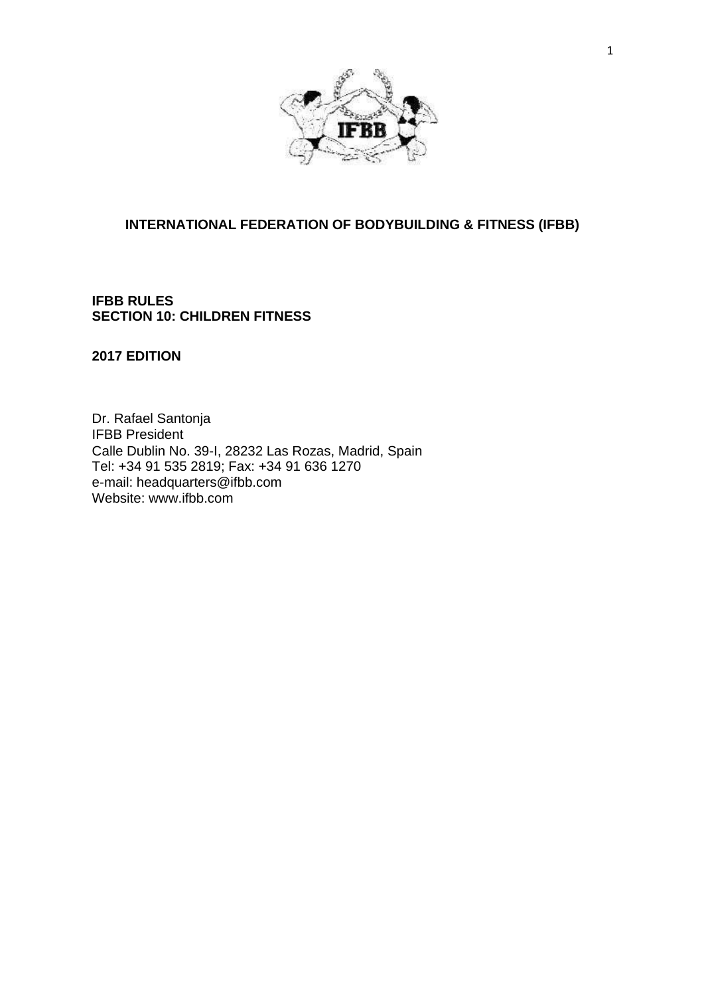

## **INTERNATIONAL FEDERATION OF BODYBUILDING & FITNESS (IFBB)**

## **IFBB RULES SECTION 10: CHILDREN FITNESS**

## **2017 EDITION**

Dr. Rafael Santonja IFBB President Calle Dublin No. 39-I, 28232 Las Rozas, Madrid, Spain Tel: +34 91 535 2819; Fax: +34 91 636 1270 e-mail: [headquarters@ifbb.com](mailto:headquarters@ifbb.com) Website: [www.ifbb.com](http://www.ifbb.com/)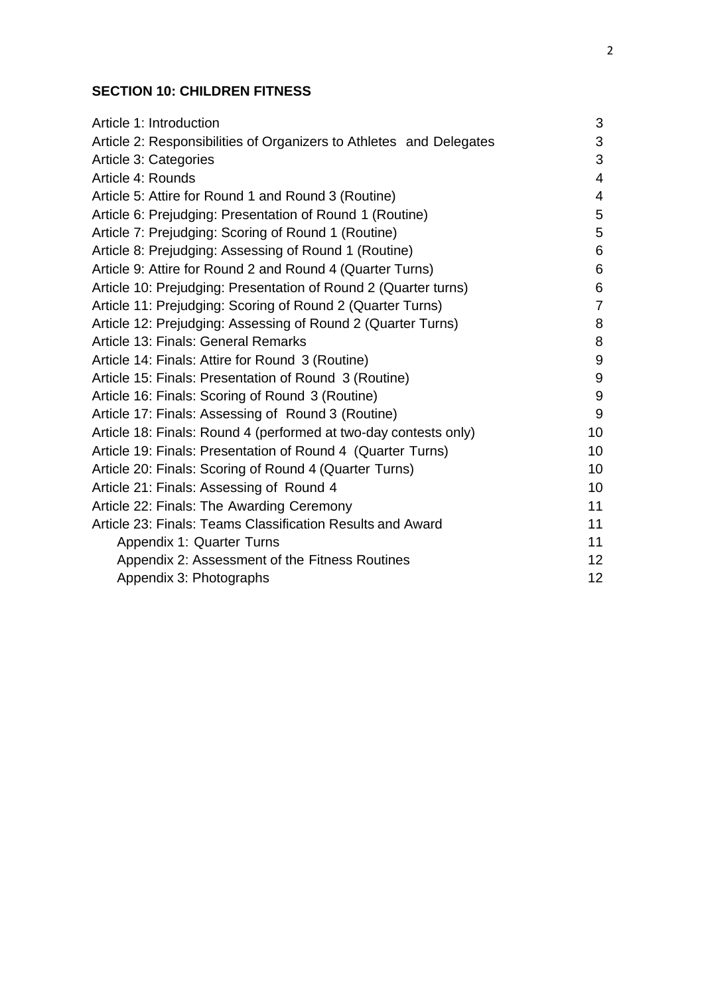## **SECTION 10: CHILDREN FITNESS**

| Article 1: Introduction                                             | 3                |
|---------------------------------------------------------------------|------------------|
| Article 2: Responsibilities of Organizers to Athletes and Delegates | 3                |
| Article 3: Categories                                               | 3                |
| Article 4: Rounds                                                   | $\overline{4}$   |
| Article 5: Attire for Round 1 and Round 3 (Routine)                 | $\overline{4}$   |
| Article 6: Prejudging: Presentation of Round 1 (Routine)            | 5                |
| Article 7: Prejudging: Scoring of Round 1 (Routine)                 | 5                |
| Article 8: Prejudging: Assessing of Round 1 (Routine)               | 6                |
| Article 9: Attire for Round 2 and Round 4 (Quarter Turns)           | 6                |
| Article 10: Prejudging: Presentation of Round 2 (Quarter turns)     | 6                |
| Article 11: Prejudging: Scoring of Round 2 (Quarter Turns)          | $\overline{7}$   |
| Article 12: Prejudging: Assessing of Round 2 (Quarter Turns)        | 8                |
| Article 13: Finals: General Remarks                                 | $\bf 8$          |
| Article 14: Finals: Attire for Round 3 (Routine)                    | $9\,$            |
| Article 15: Finals: Presentation of Round 3 (Routine)               | $\boldsymbol{9}$ |
| Article 16: Finals: Scoring of Round 3 (Routine)                    | $9\,$            |
| Article 17: Finals: Assessing of Round 3 (Routine)                  | 9                |
| Article 18: Finals: Round 4 (performed at two-day contests only)    | 10               |
| Article 19: Finals: Presentation of Round 4 (Quarter Turns)         | 10               |
| Article 20: Finals: Scoring of Round 4 (Quarter Turns)              | 10               |
| Article 21: Finals: Assessing of Round 4                            | 10               |
| Article 22: Finals: The Awarding Ceremony                           | 11               |
| Article 23: Finals: Teams Classification Results and Award          | 11               |
| Appendix 1: Quarter Turns                                           | 11               |
| Appendix 2: Assessment of the Fitness Routines                      | 12               |
| Appendix 3: Photographs                                             | 12               |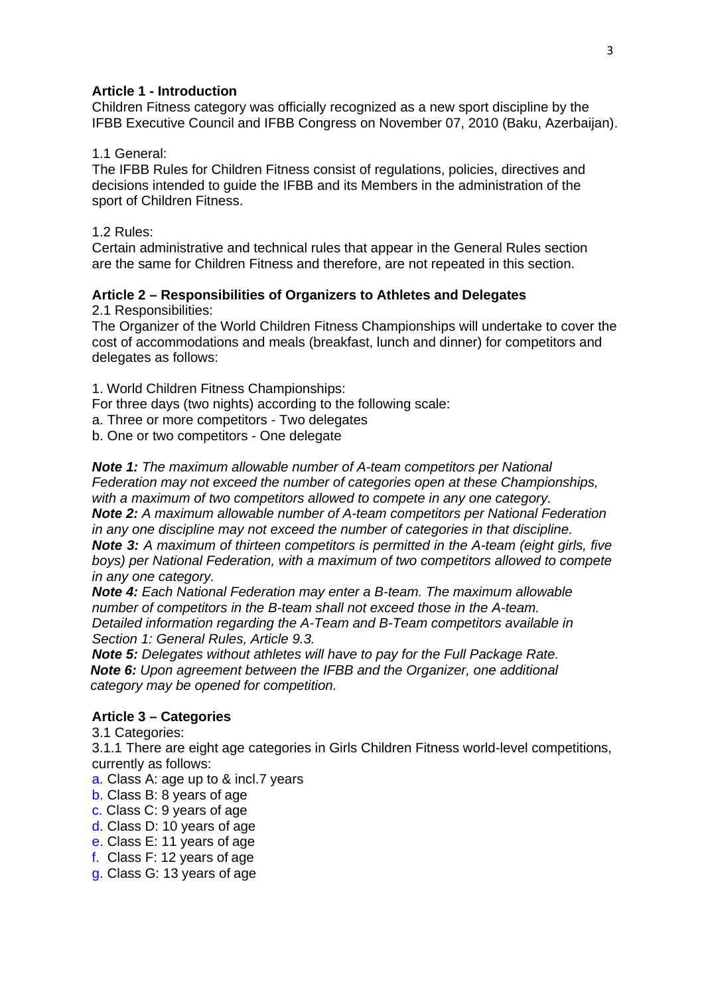## **Article 1 - Introduction**

Children Fitness category was officially recognized as a new sport discipline by the IFBB Executive Council and IFBB Congress on November 07, 2010 (Baku, Azerbaijan).

## 1.1 General:

The IFBB Rules for Children Fitness consist of regulations, policies, directives and decisions intended to guide the IFBB and its Members in the administration of the sport of Children Fitness.

## 1.2 Rules:

Certain administrative and technical rules that appear in the General Rules section are the same for Children Fitness and therefore, are not repeated in this section.

# **Article 2 – Responsibilities of Organizers to Athletes and Delegates**

2.1 Responsibilities:

The Organizer of the World Children Fitness Championships will undertake to cover the cost of accommodations and meals (breakfast, lunch and dinner) for competitors and delegates as follows:

1. World Children Fitness Championships:

For three days (two nights) according to the following scale:

a. Three or more competitors - Two delegates

b. One or two competitors - One delegate

*Note 1: The maximum allowable number of A-team competitors per National Federation may not exceed the number of categories open at these Championships, with a maximum of two competitors allowed to compete in any one category. Note 2: A maximum allowable number of A-team competitors per National Federation in any one discipline may not exceed the number of categories in that discipline. Note 3: A maximum of thirteen competitors is permitted in the A-team (eight girls, five boys) per National Federation, with a maximum of two competitors allowed to compete* 

*in any one category.*

*Note 4: Each National Federation may enter a B-team. The maximum allowable number of competitors in the B-team shall not exceed those in the A-team. Detailed information regarding the A-Team and B-Team competitors available in Section 1: General Rules, Article 9.3.*

*Note 5: Delegates without athletes will have to pay for the Full Package Rate. Note 6: Upon agreement between the IFBB and the Organizer, one additional category may be opened for competition.*

## **Article 3 – Categories**

3.1 Categories:

3.1.1 There are eight age categories in Girls Children Fitness world-level competitions, currently as follows:

a. Class A: age up to & incl.7 years

- b. Class B: 8 years of age
- c. Class C: 9 years of age
- d. Class D: 10 years of age
- e. Class E: 11 years of age
- f. Class F: 12 years of age
- g. Class G: 13 years of age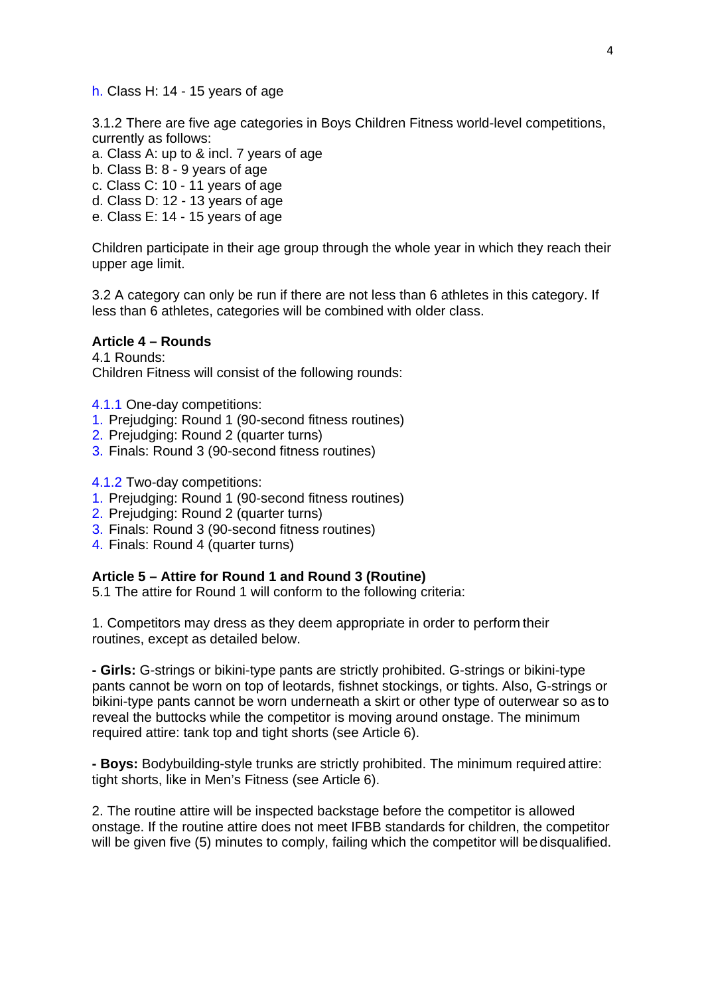h. Class H: 14 - 15 years of age

3.1.2 There are five age categories in Boys Children Fitness world-level competitions, currently as follows:

- a. Class A: up to & incl. 7 years of age
- b. Class B: 8 9 years of age
- c. Class C: 10 11 years of age
- d. Class D: 12 13 years of age
- e. Class E: 14 15 years of age

Children participate in their age group through the whole year in which they reach their upper age limit.

3.2 A category can only be run if there are not less than 6 athletes in this category. If less than 6 athletes, categories will be combined with older class.

### **Article 4 – Rounds**

4.1 Rounds: Children Fitness will consist of the following rounds:

- 4.1.1 One-day competitions:
- 1. Prejudging: Round 1 (90-second fitness routines)
- 2. Prejudging: Round 2 (quarter turns)
- 3. Finals: Round 3 (90-second fitness routines)

4.1.2 Two-day competitions:

- 1. Prejudging: Round 1 (90-second fitness routines)
- 2. Prejudging: Round 2 (quarter turns)
- 3. Finals: Round 3 (90-second fitness routines)
- 4. Finals: Round 4 (quarter turns)

## **Article 5 – Attire for Round 1 and Round 3 (Routine)**

5.1 The attire for Round 1 will conform to the following criteria:

1. Competitors may dress as they deem appropriate in order to perform their routines, except as detailed below.

**- Girls:** G-strings or bikini-type pants are strictly prohibited. G-strings or bikini-type pants cannot be worn on top of leotards, fishnet stockings, or tights. Also, G-strings or bikini-type pants cannot be worn underneath a skirt or other type of outerwear so as to reveal the buttocks while the competitor is moving around onstage. The minimum required attire: tank top and tight shorts (see Article 6).

**- Boys:** Bodybuilding-style trunks are strictly prohibited. The minimum required attire: tight shorts, like in Men's Fitness (see Article 6).

2. The routine attire will be inspected backstage before the competitor is allowed onstage. If the routine attire does not meet IFBB standards for children, the competitor will be given five (5) minutes to comply, failing which the competitor will be disqualified.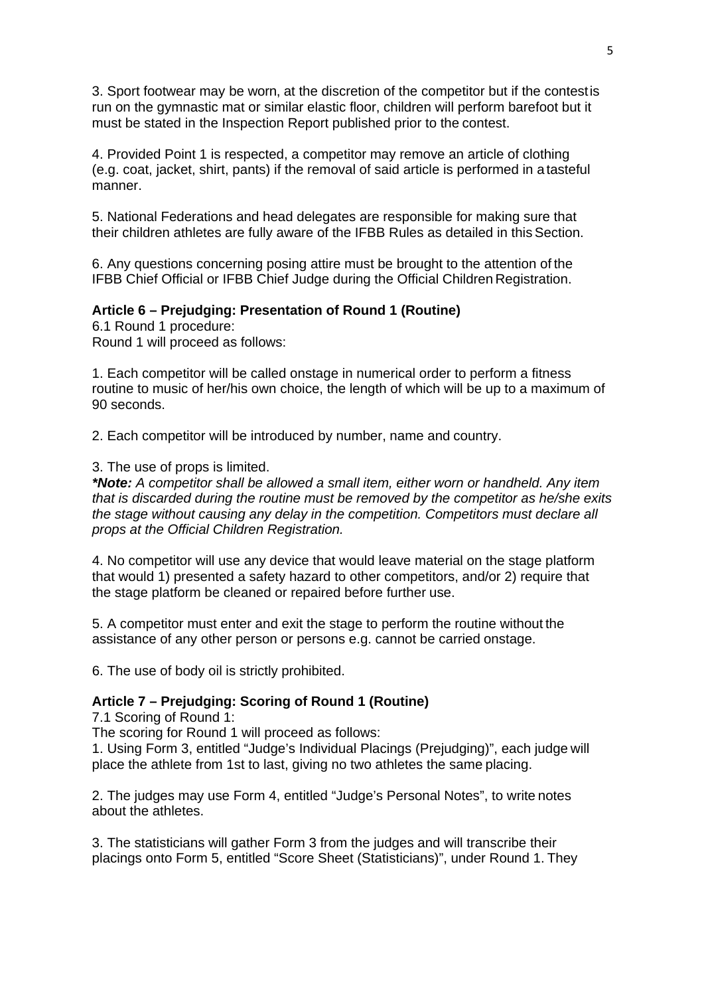3. Sport footwear may be worn, at the discretion of the competitor but if the contestis run on the gymnastic mat or similar elastic floor, children will perform barefoot but it must be stated in the Inspection Report published prior to the contest.

4. Provided Point 1 is respected, a competitor may remove an article of clothing (e.g. coat, jacket, shirt, pants) if the removal of said article is performed in a tasteful manner.

5. National Federations and head delegates are responsible for making sure that their children athletes are fully aware of the IFBB Rules as detailed in thisSection.

6. Any questions concerning posing attire must be brought to the attention of the IFBB Chief Official or IFBB Chief Judge during the Official Children Registration.

## **Article 6 – Prejudging: Presentation of Round 1 (Routine)**

6.1 Round 1 procedure: Round 1 will proceed as follows:

1. Each competitor will be called onstage in numerical order to perform a fitness routine to music of her/his own choice, the length of which will be up to a maximum of 90 seconds.

2. Each competitor will be introduced by number, name and country.

3. The use of props is limited.

*\*Note: A competitor shall be allowed a small item, either worn or handheld. Any item that is discarded during the routine must be removed by the competitor as he/she exits the stage without causing any delay in the competition. Competitors must declare all props at the Official Children Registration.*

4. No competitor will use any device that would leave material on the stage platform that would 1) presented a safety hazard to other competitors, and/or 2) require that the stage platform be cleaned or repaired before further use.

5. A competitor must enter and exit the stage to perform the routine without the assistance of any other person or persons e.g. cannot be carried onstage.

6. The use of body oil is strictly prohibited.

### **Article 7 – Prejudging: Scoring of Round 1 (Routine)**

7.1 Scoring of Round 1:

The scoring for Round 1 will proceed as follows:

1. Using Form 3, entitled "Judge's Individual Placings (Prejudging)", each judge will place the athlete from 1st to last, giving no two athletes the same placing.

2. The judges may use Form 4, entitled "Judge's Personal Notes", to write notes about the athletes.

3. The statisticians will gather Form 3 from the judges and will transcribe their placings onto Form 5, entitled "Score Sheet (Statisticians)", under Round 1. They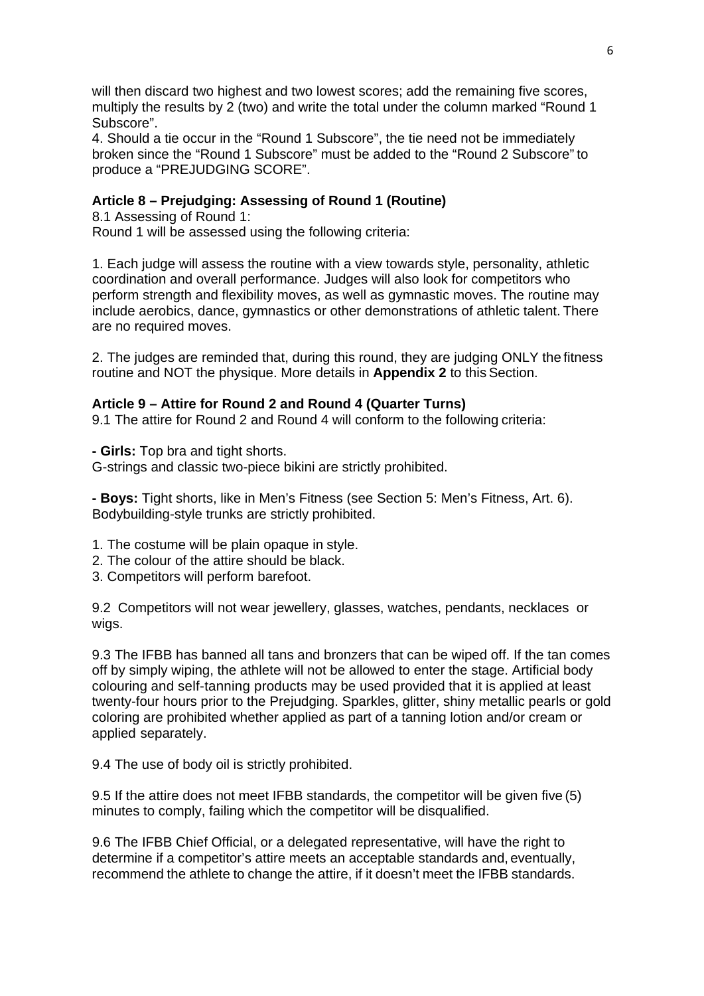will then discard two highest and two lowest scores; add the remaining five scores, multiply the results by 2 (two) and write the total under the column marked "Round 1 Subscore".

4. Should a tie occur in the "Round 1 Subscore", the tie need not be immediately broken since the "Round 1 Subscore" must be added to the "Round 2 Subscore" to produce a "PREJUDGING SCORE".

## **Article 8 – Prejudging: Assessing of Round 1 (Routine)**

8.1 Assessing of Round 1: Round 1 will be assessed using the following criteria:

1. Each judge will assess the routine with a view towards style, personality, athletic coordination and overall performance. Judges will also look for competitors who perform strength and flexibility moves, as well as gymnastic moves. The routine may include aerobics, dance, gymnastics or other demonstrations of athletic talent. There are no required moves.

2. The judges are reminded that, during this round, they are judging ONLY the fitness routine and NOT the physique. More details in **Appendix 2** to this Section.

## **Article 9 – Attire for Round 2 and Round 4 (Quarter Turns)**

9.1 The attire for Round 2 and Round 4 will conform to the following criteria:

**- Girls:** Top bra and tight shorts.

G-strings and classic two-piece bikini are strictly prohibited.

**- Boys:** Tight shorts, like in Men's Fitness (see Section 5: Men's Fitness, Art. 6). Bodybuilding-style trunks are strictly prohibited.

- 1. The costume will be plain opaque in style.
- 2. The colour of the attire should be black.
- 3. Competitors will perform barefoot.

9.2 Competitors will not wear jewellery, glasses, watches, pendants, necklaces or wigs.

9.3 The IFBB has banned all tans and bronzers that can be wiped off. If the tan comes off by simply wiping, the athlete will not be allowed to enter the stage. Artificial body colouring and self-tanning products may be used provided that it is applied at least twenty-four hours prior to the Prejudging. Sparkles, glitter, shiny metallic pearls or gold coloring are prohibited whether applied as part of a tanning lotion and/or cream or applied separately.

9.4 The use of body oil is strictly prohibited.

9.5 If the attire does not meet IFBB standards, the competitor will be given five (5) minutes to comply, failing which the competitor will be disqualified.

9.6 The IFBB Chief Official, or a delegated representative, will have the right to determine if a competitor's attire meets an acceptable standards and, eventually, recommend the athlete to change the attire, if it doesn't meet the IFBB standards.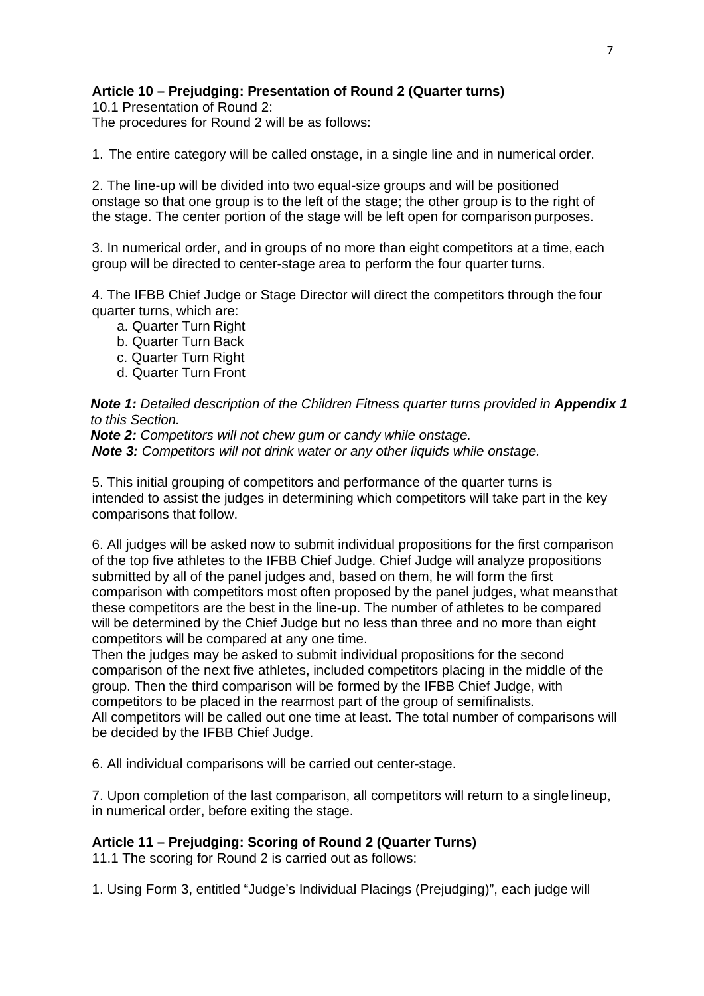## **Article 10 – Prejudging: Presentation of Round 2 (Quarter turns)**

10.1 Presentation of Round 2: The procedures for Round 2 will be as follows:

1. The entire category will be called onstage, in a single line and in numerical order.

2. The line-up will be divided into two equal-size groups and will be positioned onstage so that one group is to the left of the stage; the other group is to the right of the stage. The center portion of the stage will be left open for comparison purposes.

3. In numerical order, and in groups of no more than eight competitors at a time, each group will be directed to center-stage area to perform the four quarter turns.

4. The IFBB Chief Judge or Stage Director will direct the competitors through the four quarter turns, which are:

- a. Quarter Turn Right
- b. Quarter Turn Back
- c. Quarter Turn Right
- d. Quarter Turn Front

**Note 1:** Detailed description of the Children Fitness quarter turns provided in **Appendix 1** *to this Section.*

*Note 2: Competitors will not chew gum or candy while onstage. Note 3: Competitors will not drink water or any other liquids while onstage.*

5. This initial grouping of competitors and performance of the quarter turns is intended to assist the judges in determining which competitors will take part in the key comparisons that follow.

6. All judges will be asked now to submit individual propositions for the first comparison of the top five athletes to the IFBB Chief Judge. Chief Judge will analyze propositions submitted by all of the panel judges and, based on them, he will form the first comparison with competitors most often proposed by the panel judges, what meansthat these competitors are the best in the line-up. The number of athletes to be compared will be determined by the Chief Judge but no less than three and no more than eight competitors will be compared at any one time.

Then the judges may be asked to submit individual propositions for the second comparison of the next five athletes, included competitors placing in the middle of the group. Then the third comparison will be formed by the IFBB Chief Judge, with competitors to be placed in the rearmost part of the group of semifinalists. All competitors will be called out one time at least. The total number of comparisons will be decided by the IFBB Chief Judge.

6. All individual comparisons will be carried out center-stage.

7. Upon completion of the last comparison, all competitors will return to a single lineup, in numerical order, before exiting the stage.

## **Article 11 – Prejudging: Scoring of Round 2 (Quarter Turns)**

11.1 The scoring for Round 2 is carried out as follows:

1. Using Form 3, entitled "Judge's Individual Placings (Prejudging)", each judge will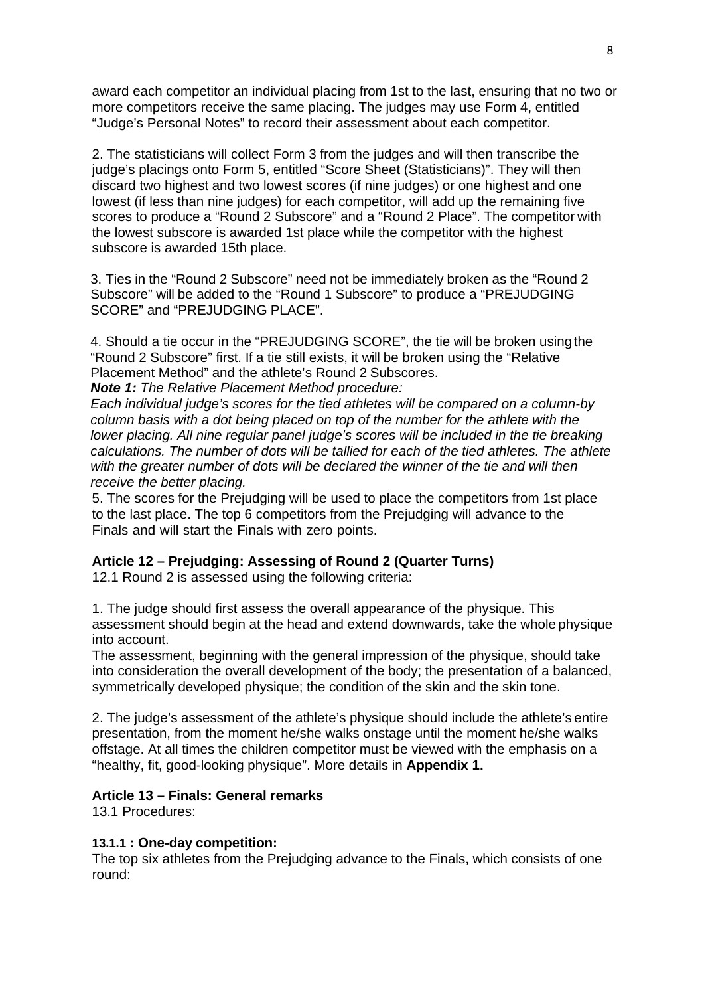award each competitor an individual placing from 1st to the last, ensuring that no two or more competitors receive the same placing. The judges may use Form 4, entitled "Judge's Personal Notes" to record their assessment about each competitor.

2. The statisticians will collect Form 3 from the judges and will then transcribe the judge's placings onto Form 5, entitled "Score Sheet (Statisticians)". They will then discard two highest and two lowest scores (if nine judges) or one highest and one lowest (if less than nine judges) for each competitor, will add up the remaining five scores to produce a "Round 2 Subscore" and a "Round 2 Place". The competitor with the lowest subscore is awarded 1st place while the competitor with the highest subscore is awarded 15th place.

3. Ties in the "Round 2 Subscore" need not be immediately broken as the "Round 2 Subscore" will be added to the "Round 1 Subscore" to produce a "PREJUDGING SCORE" and "PREJUDGING PLACE".

4. Should a tie occur in the "PREJUDGING SCORE", the tie will be broken usingthe "Round 2 Subscore" first. If a tie still exists, it will be broken using the "Relative Placement Method" and the athlete's Round 2 Subscores. *Note 1: The Relative Placement Method procedure:*

*Each individual judge's scores for the tied athletes will be compared on a column-by column basis with a dot being placed on top of the number for the athlete with the lower placing. All nine regular panel judge's scores will be included in the tie breaking calculations. The number of dots will be tallied for each of the tied athletes. The athlete*  with the greater number of dots will be declared the winner of the tie and will then *receive the better placing.*

5. The scores for the Prejudging will be used to place the competitors from 1st place to the last place. The top 6 competitors from the Prejudging will advance to the Finals and will start the Finals with zero points.

## **Article 12 – Prejudging: Assessing of Round 2 (Quarter Turns)**

12.1 Round 2 is assessed using the following criteria:

1. The judge should first assess the overall appearance of the physique. This assessment should begin at the head and extend downwards, take the whole physique into account.

The assessment, beginning with the general impression of the physique, should take into consideration the overall development of the body; the presentation of a balanced, symmetrically developed physique; the condition of the skin and the skin tone.

2. The judge's assessment of the athlete's physique should include the athlete's entire presentation, from the moment he/she walks onstage until the moment he/she walks offstage. At all times the children competitor must be viewed with the emphasis on a "healthy, fit, good-looking physique". More details in **Appendix 1.**

## **Article 13 – Finals: General remarks**

13.1 Procedures:

## **13.1.1 : One-day competition:**

The top six athletes from the Prejudging advance to the Finals, which consists of one round: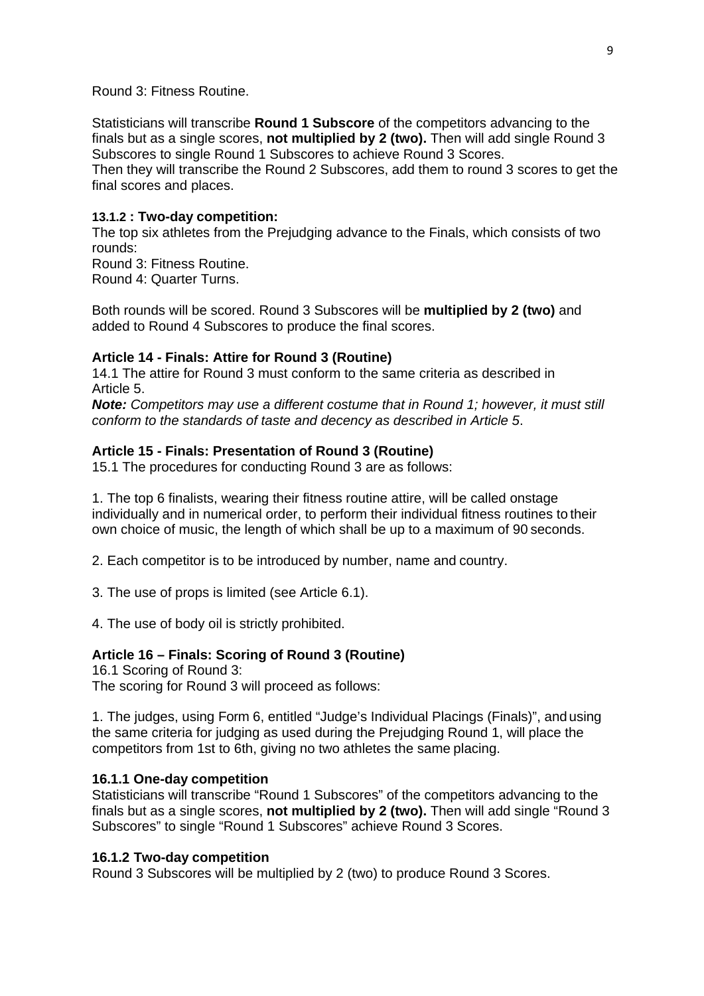#### Round 3: Fitness Routine.

Statisticians will transcribe **Round 1 Subscore** of the competitors advancing to the finals but as a single scores, **not multiplied by 2 (two).** Then will add single Round 3 Subscores to single Round 1 Subscores to achieve Round 3 Scores.

Then they will transcribe the Round 2 Subscores, add them to round 3 scores to get the final scores and places.

#### **13.1.2 : Two-day competition:**

The top six athletes from the Prejudging advance to the Finals, which consists of two rounds:

Round 3: Fitness Routine. Round 4: Quarter Turns.

Both rounds will be scored. Round 3 Subscores will be **multiplied by 2 (two)** and added to Round 4 Subscores to produce the final scores.

#### **Article 14 - Finals: Attire for Round 3 (Routine)**

14.1 The attire for Round 3 must conform to the same criteria as described in Article 5.

*Note: Competitors may use a different costume that in Round 1; however, it must still conform to the standards of taste and decency as described in Article 5*.

#### **Article 15 - Finals: Presentation of Round 3 (Routine)**

15.1 The procedures for conducting Round 3 are as follows:

1. The top 6 finalists, wearing their fitness routine attire, will be called onstage individually and in numerical order, to perform their individual fitness routines to their own choice of music, the length of which shall be up to a maximum of 90 seconds.

2. Each competitor is to be introduced by number, name and country.

3. The use of props is limited (see Article 6.1).

4. The use of body oil is strictly prohibited.

### **Article 16 – Finals: Scoring of Round 3 (Routine)**

16.1 Scoring of Round 3: The scoring for Round 3 will proceed as follows:

1. The judges, using Form 6, entitled "Judge's Individual Placings (Finals)", andusing the same criteria for judging as used during the Prejudging Round 1, will place the competitors from 1st to 6th, giving no two athletes the same placing.

#### **16.1.1 One-day competition**

Statisticians will transcribe "Round 1 Subscores" of the competitors advancing to the finals but as a single scores, **not multiplied by 2 (two).** Then will add single "Round 3 Subscores" to single "Round 1 Subscores" achieve Round 3 Scores.

#### **16.1.2 Two-day competition**

Round 3 Subscores will be multiplied by 2 (two) to produce Round 3 Scores.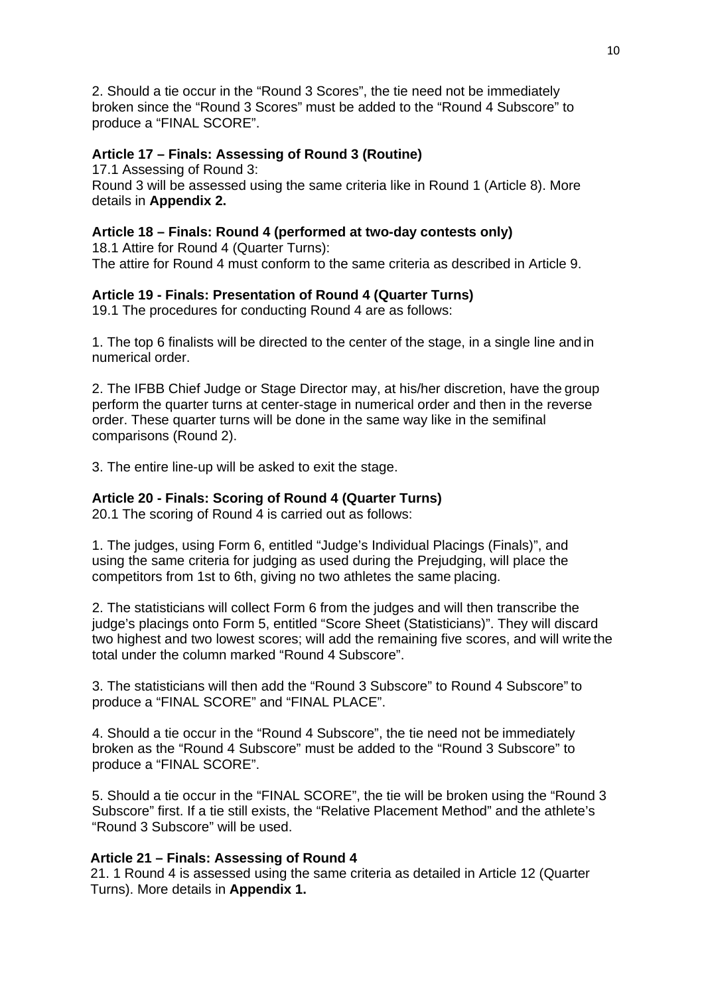2. Should a tie occur in the "Round 3 Scores", the tie need not be immediately broken since the "Round 3 Scores" must be added to the "Round 4 Subscore" to produce a "FINAL SCORE".

## **Article 17 – Finals: Assessing of Round 3 (Routine)**

17.1 Assessing of Round 3:

Round 3 will be assessed using the same criteria like in Round 1 (Article 8). More details in **Appendix 2.**

## **Article 18 – Finals: Round 4 (performed at two-day contests only)**

18.1 Attire for Round 4 (Quarter Turns): The attire for Round 4 must conform to the same criteria as described in Article 9.

## **Article 19 - Finals: Presentation of Round 4 (Quarter Turns)**

19.1 The procedures for conducting Round 4 are as follows:

1. The top 6 finalists will be directed to the center of the stage, in a single line and in numerical order.

2. The IFBB Chief Judge or Stage Director may, at his/her discretion, have the group perform the quarter turns at center-stage in numerical order and then in the reverse order. These quarter turns will be done in the same way like in the semifinal comparisons (Round 2).

3. The entire line-up will be asked to exit the stage.

## **Article 20 - Finals: Scoring of Round 4 (Quarter Turns)**

20.1 The scoring of Round 4 is carried out as follows:

1. The judges, using Form 6, entitled "Judge's Individual Placings (Finals)", and using the same criteria for judging as used during the Prejudging, will place the competitors from 1st to 6th, giving no two athletes the same placing.

2. The statisticians will collect Form 6 from the judges and will then transcribe the judge's placings onto Form 5, entitled "Score Sheet (Statisticians)". They will discard two highest and two lowest scores; will add the remaining five scores, and will write the total under the column marked "Round 4 Subscore".

3. The statisticians will then add the "Round 3 Subscore" to Round 4 Subscore" to produce a "FINAL SCORE" and "FINAL PLACE".

4. Should a tie occur in the "Round 4 Subscore", the tie need not be immediately broken as the "Round 4 Subscore" must be added to the "Round 3 Subscore" to produce a "FINAL SCORE".

5. Should a tie occur in the "FINAL SCORE", the tie will be broken using the "Round 3 Subscore" first. If a tie still exists, the "Relative Placement Method" and the athlete's "Round 3 Subscore" will be used.

## **Article 21 – Finals: Assessing of Round 4**

21. 1 Round 4 is assessed using the same criteria as detailed in Article 12 (Quarter Turns). More details in **Appendix 1.**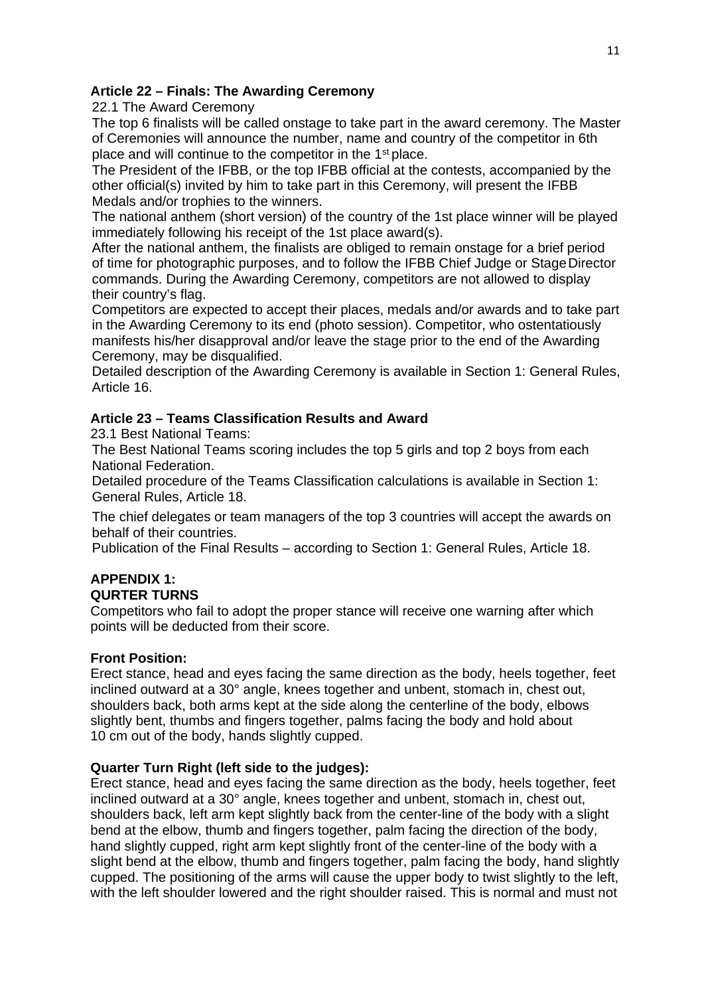## **Article 22 – Finals: The Awarding Ceremony**

22.1 The Award Ceremony

The top 6 finalists will be called onstage to take part in the award ceremony. The Master of Ceremonies will announce the number, name and country of the competitor in 6th place and will continue to the competitor in the 1st place.

The President of the IFBB, or the top IFBB official at the contests, accompanied by the other official(s) invited by him to take part in this Ceremony, will present the IFBB Medals and/or trophies to the winners.

The national anthem (short version) of the country of the 1st place winner will be played immediately following his receipt of the 1st place award(s).

After the national anthem, the finalists are obliged to remain onstage for a brief period of time for photographic purposes, and to follow the IFBB Chief Judge or StageDirector commands. During the Awarding Ceremony, competitors are not allowed to display their country's flag.

Competitors are expected to accept their places, medals and/or awards and to take part in the Awarding Ceremony to its end (photo session). Competitor, who ostentatiously manifests his/her disapproval and/or leave the stage prior to the end of the Awarding Ceremony, may be disqualified.

Detailed description of the Awarding Ceremony is available in Section 1: General Rules, Article 16.

## **Article 23 – Teams Classification Results and Award**

23.1 Best National Teams:

The Best National Teams scoring includes the top 5 girls and top 2 boys from each National Federation.

Detailed procedure of the Teams Classification calculations is available in Section 1: General Rules, Article 18.

The chief delegates or team managers of the top 3 countries will accept the awards on behalf of their countries.

Publication of the Final Results – according to Section 1: General Rules, Article 18.

#### **APPENDIX 1: QURTER TURNS**

Competitors who fail to adopt the proper stance will receive one warning after which points will be deducted from their score.

## **Front Position:**

Erect stance, head and eyes facing the same direction as the body, heels together, feet inclined outward at a 30° angle, knees together and unbent, stomach in, chest out, shoulders back, both arms kept at the side along the centerline of the body, elbows slightly bent, thumbs and fingers together, palms facing the body and hold about 10 cm out of the body, hands slightly cupped.

## **Quarter Turn Right (left side to the judges):**

Erect stance, head and eyes facing the same direction as the body, heels together, feet inclined outward at a 30° angle, knees together and unbent, stomach in, chest out, shoulders back, left arm kept slightly back from the center-line of the body with a slight bend at the elbow, thumb and fingers together, palm facing the direction of the body, hand slightly cupped, right arm kept slightly front of the center-line of the body with a slight bend at the elbow, thumb and fingers together, palm facing the body, hand slightly cupped. The positioning of the arms will cause the upper body to twist slightly to the left, with the left shoulder lowered and the right shoulder raised. This is normal and must not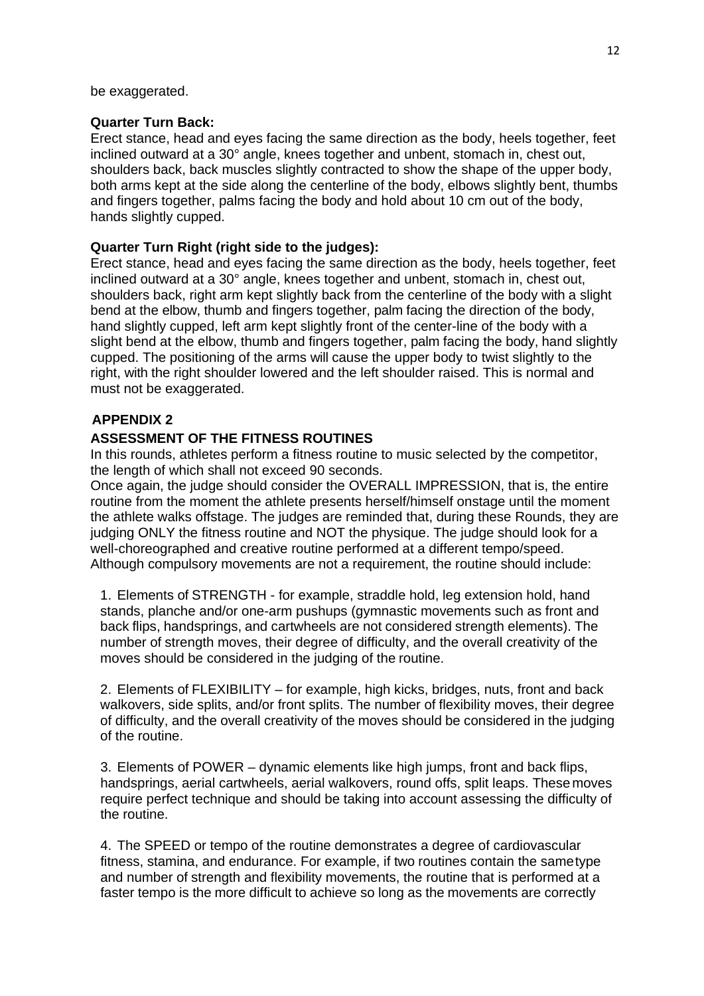be exaggerated.

### **Quarter Turn Back:**

Erect stance, head and eyes facing the same direction as the body, heels together, feet inclined outward at a 30° angle, knees together and unbent, stomach in, chest out, shoulders back, back muscles slightly contracted to show the shape of the upper body, both arms kept at the side along the centerline of the body, elbows slightly bent, thumbs and fingers together, palms facing the body and hold about 10 cm out of the body, hands slightly cupped.

## **Quarter Turn Right (right side to the judges):**

Erect stance, head and eyes facing the same direction as the body, heels together, feet inclined outward at a 30° angle, knees together and unbent, stomach in, chest out, shoulders back, right arm kept slightly back from the centerline of the body with a slight bend at the elbow, thumb and fingers together, palm facing the direction of the body, hand slightly cupped, left arm kept slightly front of the center-line of the body with a slight bend at the elbow, thumb and fingers together, palm facing the body, hand slightly cupped. The positioning of the arms will cause the upper body to twist slightly to the right, with the right shoulder lowered and the left shoulder raised. This is normal and must not be exaggerated.

## **APPENDIX 2**

## **ASSESSMENT OF THE FITNESS ROUTINES**

In this rounds, athletes perform a fitness routine to music selected by the competitor, the length of which shall not exceed 90 seconds.

Once again, the judge should consider the OVERALL IMPRESSION, that is, the entire routine from the moment the athlete presents herself/himself onstage until the moment the athlete walks offstage. The judges are reminded that, during these Rounds, they are judging ONLY the fitness routine and NOT the physique. The judge should look for a well-choreographed and creative routine performed at a different tempo/speed. Although compulsory movements are not a requirement, the routine should include:

1. Elements of STRENGTH - for example, straddle hold, leg extension hold, hand stands, planche and/or one-arm pushups (gymnastic movements such as front and back flips, handsprings, and cartwheels are not considered strength elements). The number of strength moves, their degree of difficulty, and the overall creativity of the moves should be considered in the judging of the routine.

2. Elements of FLEXIBILITY – for example, high kicks, bridges, nuts, front and back walkovers, side splits, and/or front splits. The number of flexibility moves, their degree of difficulty, and the overall creativity of the moves should be considered in the judging of the routine.

3. Elements of POWER – dynamic elements like high jumps, front and back flips, handsprings, aerial cartwheels, aerial walkovers, round offs, split leaps. Thesemoves require perfect technique and should be taking into account assessing the difficulty of the routine.

4. The SPEED or tempo of the routine demonstrates a degree of cardiovascular fitness, stamina, and endurance. For example, if two routines contain the sametype and number of strength and flexibility movements, the routine that is performed at a faster tempo is the more difficult to achieve so long as the movements are correctly